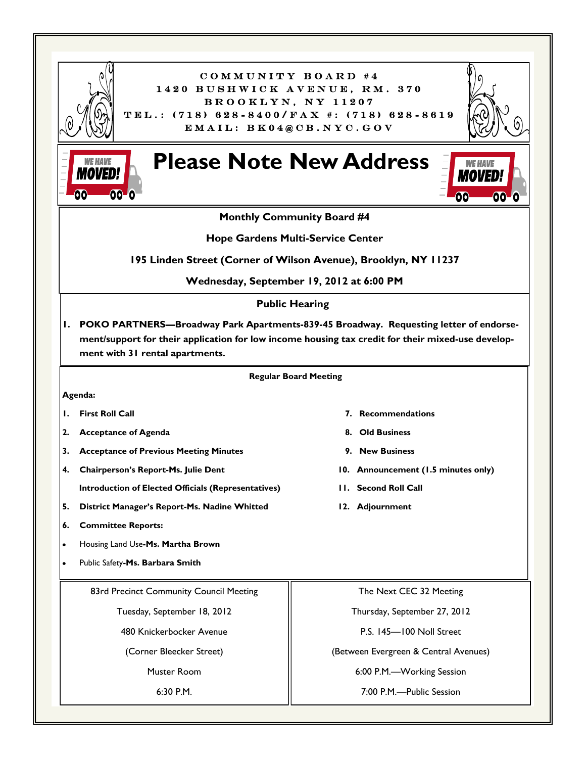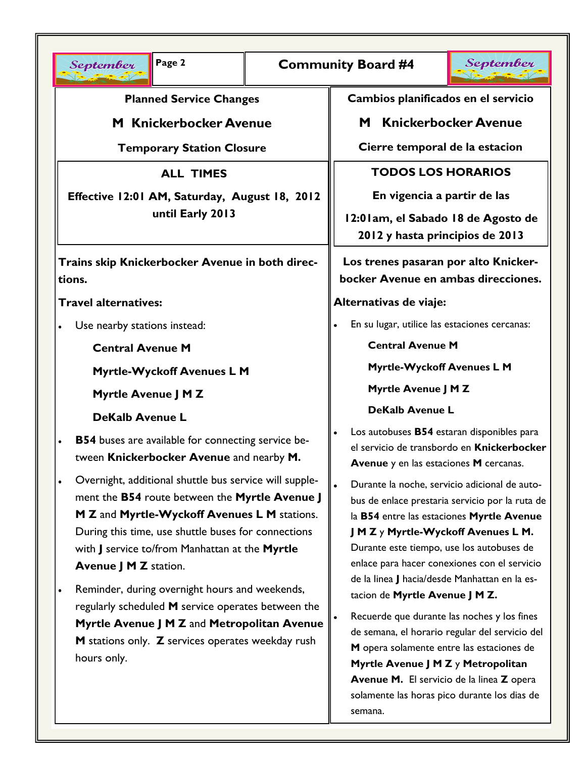| Page 2<br><b>Community Board #4</b><br>September                                                                                                                                                                                                                                                                                                                                                                                                                                                                                                                                                                                                                                         |  | September                                                                                                                                                                                                                                                                                                                                                                                                                                                                                                                                                                                                                                                                                                                                                                                                                                                                                     |
|------------------------------------------------------------------------------------------------------------------------------------------------------------------------------------------------------------------------------------------------------------------------------------------------------------------------------------------------------------------------------------------------------------------------------------------------------------------------------------------------------------------------------------------------------------------------------------------------------------------------------------------------------------------------------------------|--|-----------------------------------------------------------------------------------------------------------------------------------------------------------------------------------------------------------------------------------------------------------------------------------------------------------------------------------------------------------------------------------------------------------------------------------------------------------------------------------------------------------------------------------------------------------------------------------------------------------------------------------------------------------------------------------------------------------------------------------------------------------------------------------------------------------------------------------------------------------------------------------------------|
| <b>Planned Service Changes</b><br><b>M</b> Knickerbocker Avenue<br><b>Temporary Station Closure</b><br><b>ALL TIMES</b><br>Effective 12:01 AM, Saturday, August 18, 2012<br>until Early 2013<br>Trains skip Knickerbocker Avenue in both direc-<br>tions.<br><b>Travel alternatives:</b><br>Use nearby stations instead:<br><b>Central Avenue M</b><br><b>Myrtle-Wyckoff Avenues L M</b><br>Myrtle Avenue J M Z<br><b>DeKalb Avenue L</b><br><b>B54</b> buses are available for connecting service be-<br>$\bullet$<br>tween Knickerbocker Avenue and nearby M.<br>Overnight, additional shuttle bus service will supple-<br>$\bullet$<br>ment the B54 route between the Myrtle Avenue J |  | Cambios planificados en el servicio<br><b>Knickerbocker Avenue</b><br>M<br>Cierre temporal de la estacion<br><b>TODOS LOS HORARIOS</b><br>En vigencia a partir de las<br>12:01am, el Sabado 18 de Agosto de<br>2012 y hasta principios de 2013<br>Los trenes pasaran por alto Knicker-<br>bocker Avenue en ambas direcciones.<br>Alternativas de viaje:<br>En su lugar, utilice las estaciones cercanas:<br><b>Central Avenue M</b><br>Myrtle-Wyckoff Avenues L M<br>Myrtle Avenue J M Z<br><b>DeKalb Avenue L</b><br>Los autobuses B54 estaran disponibles para<br>el servicio de transbordo en Knickerbocker<br>Avenue y en las estaciones M cercanas.<br>Durante la noche, servicio adicional de auto-<br>bus de enlace prestaria servicio por la ruta de<br>la B54 entre las estaciones Myrtle Avenue<br>J M Z y Myrtle-Wyckoff Avenues L M.<br>Durante este tiempo, use los autobuses de |
| M Z and Myrtle-Wyckoff Avenues L M stations.<br>During this time, use shuttle buses for connections<br>with J service to/from Manhattan at the Myrtle<br><b>Avenue J M Z station.</b><br>Reminder, during overnight hours and weekends,<br>regularly scheduled M service operates between the<br>Myrtle Avenue J M Z and Metropolitan Avenue<br>M stations only. Z services operates weekday rush<br>hours only.                                                                                                                                                                                                                                                                         |  | enlace para hacer conexiones con el servicio<br>de la linea J hacia/desde Manhattan en la es-<br>tacion de Myrtle Avenue J M Z.<br>Recuerde que durante las noches y los fines<br>de semana, el horario regular del servicio del<br>M opera solamente entre las estaciones de<br>Myrtle Avenue J M Z y Metropolitan<br>Avenue M. El servicio de la linea Z opera<br>solamente las horas pico durante los dias de<br>semana.                                                                                                                                                                                                                                                                                                                                                                                                                                                                   |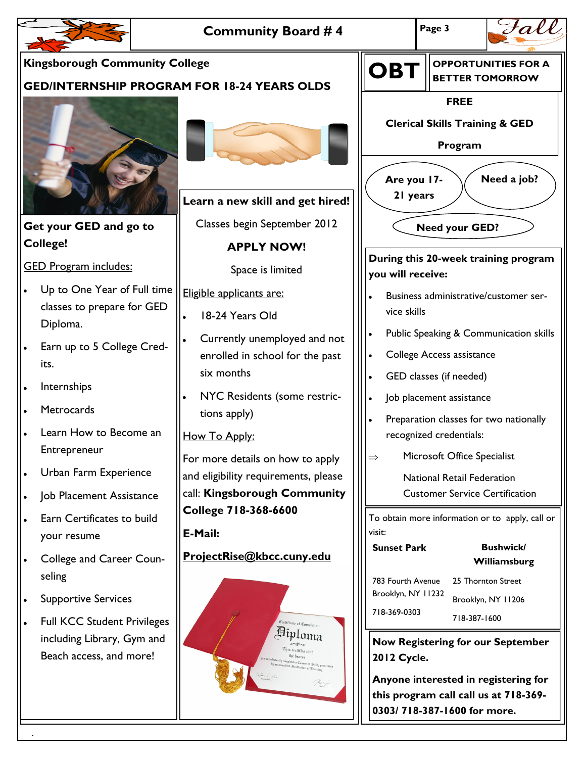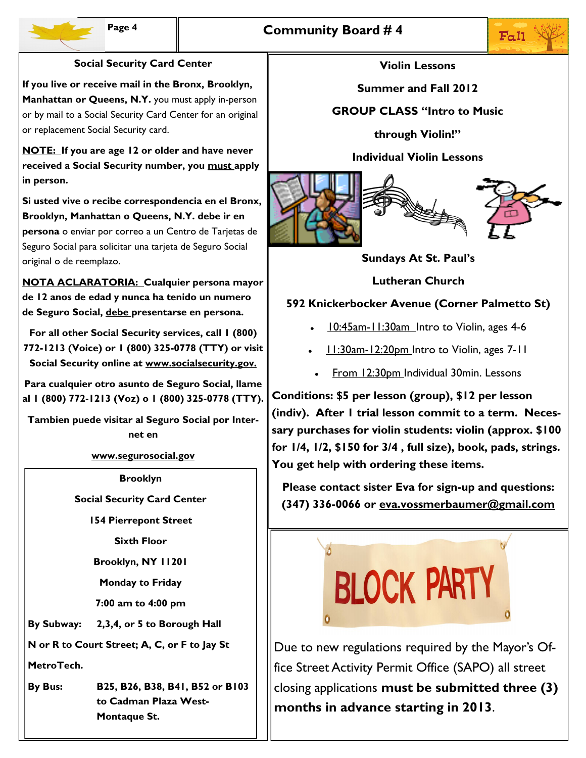

## **Social Security Card Center**

**If you live or receive mail in the Bronx, Brooklyn, Manhattan or Queens, N.Y.** you must apply in-person or by mail to a Social Security Card Center for an original or replacement Social Security card.

**NOTE: If you are age 12 or older and have never received a Social Security number, you must apply in person.**

**Si usted vive o recibe correspondencia en el Bronx, Brooklyn, Manhattan o Queens, N.Y. debe ir en persona** o enviar por correo a un Centro de Tarjetas de Seguro Social para solicitar una tarjeta de Seguro Social original o de reemplazo.

**NOTA ACLARATORIA: Cualquier persona mayor de 12 anos de edad y nunca ha tenido un numero de Seguro Social, debe presentarse en persona.**

**For all other Social Security services, call 1 (800) 772-1213 (Voice) or 1 (800) 325-0778 (TTY) or visit Social Security online at www.socialsecurity.gov.**

**Para cualquier otro asunto de Seguro Social, llame al 1 (800) 772-1213 (Voz) o 1 (800) 325-0778 (TTY).**

**Tambien puede visitar al Seguro Social por Internet en** 

**www.segurosocial.gov**

**Brooklyn**

**Social Security Card Center**

**154 Pierrepont Street**

**Sixth Floor**

**Brooklyn, NY 11201**

**Monday to Friday**

**7:00 am to 4:00 pm**

**By Subway: 2,3,4, or 5 to Borough Hall**

**N or R to Court Street; A, C, or F to Jay St** 

**MetroTech.**

**By Bus: B25, B26, B38, B41, B52 or B103 to Cadman Plaza West-Montaque St.**

## **Violin Lessons**

**Summer and Fall 2012**

**GROUP CLASS "Intro to Music** 

**through Violin!"**

**Individual Violin Lessons** 



**Sundays At St. Paul's**

**Lutheran Church**

## **592 Knickerbocker Avenue (Corner Palmetto St)**

- 10:45am-11:30am Intro to Violin, ages 4-6
- 11:30am-12:20pm Intro to Violin, ages 7-11
	- From 12:30pm Individual 30min. Lessons

**Conditions: \$5 per lesson (group), \$12 per lesson (indiv). After 1 trial lesson commit to a term. Necessary purchases for violin students: violin (approx. \$100 for 1/4, 1/2, \$150 for 3/4 , full size), book, pads, strings. You get help with ordering these items.**

**Please contact sister Eva for sign-up and questions: (347) 336-0066 or eva.vossmerbaumer@gmail.com**



Due to new regulations required by the Mayor's Office Street Activity Permit Office (SAPO) all street closing applications **must be submitted three (3) months in advance starting in 2013**.